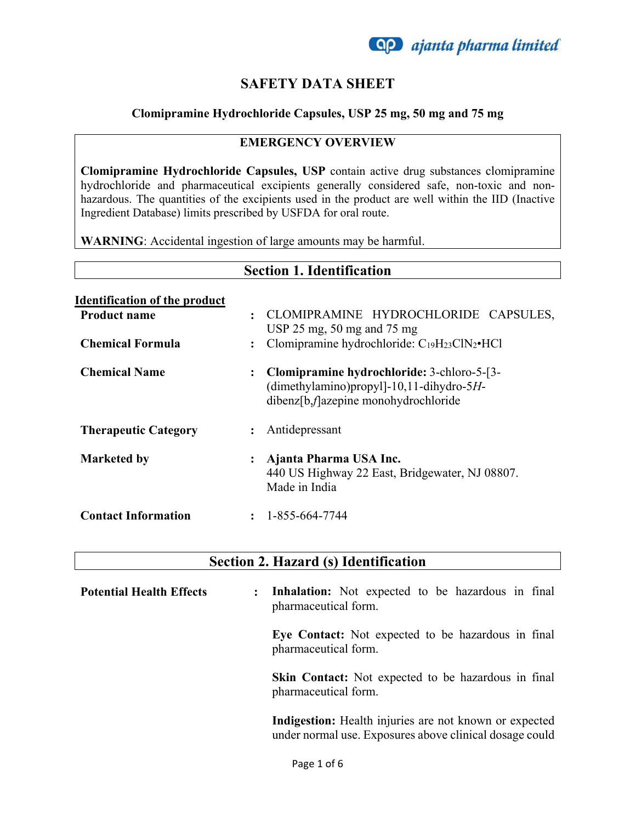

### **SAFETY DATA SHEET**

#### **Clomipramine Hydrochloride Capsules, USP 25 mg, 50 mg and 75 mg**

#### **EMERGENCY OVERVIEW**

**Clomipramine Hydrochloride Capsules, USP** contain active drug substances clomipramine hydrochloride and pharmaceutical excipients generally considered safe, non-toxic and nonhazardous. The quantities of the excipients used in the product are well within the IID (Inactive Ingredient Database) limits prescribed by USFDA for oral route.

**WARNING**: Accidental ingestion of large amounts may be harmful.

| <b>Section 1. Identification</b>                                                       |                                                                                                                                                                                                                           |  |
|----------------------------------------------------------------------------------------|---------------------------------------------------------------------------------------------------------------------------------------------------------------------------------------------------------------------------|--|
| <b>Identification of the product</b><br><b>Product name</b><br><b>Chemical Formula</b> | CLOMIPRAMINE HYDROCHLORIDE CAPSULES,<br>$\cdot$<br>USP $25 \text{ mg}$ , $50 \text{ mg}$ and $75 \text{ mg}$<br>Clomipramine hydrochloride: C <sub>19</sub> H <sub>23</sub> ClN <sub>2</sub> •HCl<br>$\ddot{\phantom{a}}$ |  |
| <b>Chemical Name</b>                                                                   | Clomipramine hydrochloride: 3-chloro-5-[3-<br>$\ddot{\cdot}$<br>(dimethylamino)propyl]-10,11-dihydro-5H-<br>dibenz[b, <i>f</i> ]azepine monohydrochloride                                                                 |  |
| <b>Therapeutic Category</b>                                                            | Antidepressant<br>$\ddot{\phantom{a}}$                                                                                                                                                                                    |  |
| <b>Marketed by</b>                                                                     | Ajanta Pharma USA Inc.<br>፡<br>440 US Highway 22 East, Bridgewater, NJ 08807.<br>Made in India                                                                                                                            |  |
| <b>Contact Information</b>                                                             | 1-855-664-7744<br>$\ddot{\cdot}$                                                                                                                                                                                          |  |

#### **Section 2. Hazard (s) Identification**

| <b>Potential Health Effects</b> | <b>Inhalation:</b> Not expected to be hazardous in final<br>$\ddot{\cdot}$<br>pharmaceutical form.                |
|---------------------------------|-------------------------------------------------------------------------------------------------------------------|
|                                 | Eye Contact: Not expected to be hazardous in final<br>pharmaceutical form.                                        |
|                                 | Skin Contact: Not expected to be hazardous in final<br>pharmaceutical form.                                       |
|                                 | Indigestion: Health injuries are not known or expected<br>under normal use. Exposures above clinical dosage could |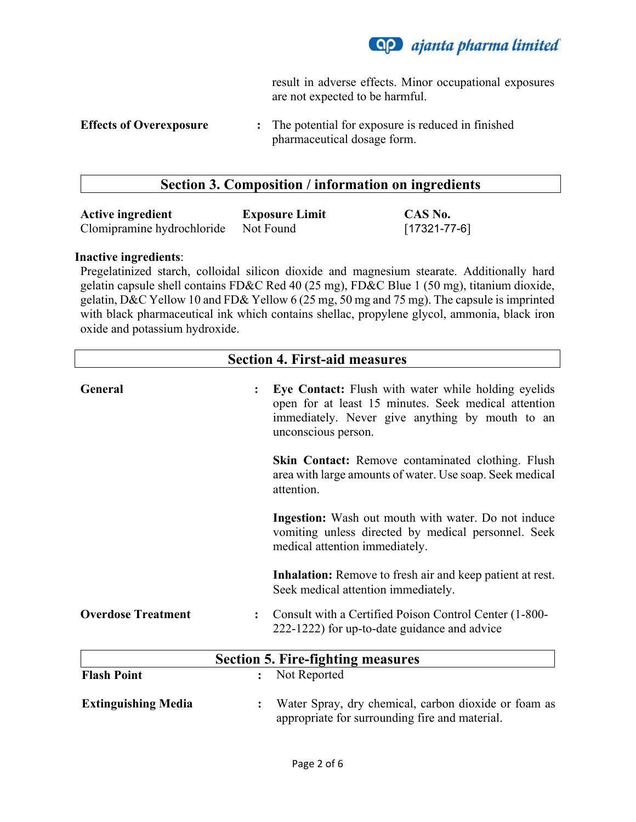

result in adverse effects. Minor occupational exposures are not expected to be harmful.

**Effects of Overexposure :** The potential for exposure is reduced in finished pharmaceutical dosage form.

#### **Section 3. Composition / information on ingredients**

| <b>Active ingredient</b>   | <b>Exposure Limit</b> | CAS No.            |
|----------------------------|-----------------------|--------------------|
| Clomipramine hydrochloride | Not Found             | $[17321 - 77 - 6]$ |

#### **Inactive ingredients**:

Pregelatinized starch, colloidal silicon dioxide and magnesium stearate. Additionally hard gelatin capsule shell contains FD&C Red 40 (25 mg), FD&C Blue 1 (50 mg), titanium dioxide, gelatin, D&C Yellow 10 and FD& Yellow 6 (25 mg, 50 mg and 75 mg). The capsule is imprinted with black pharmaceutical ink which contains shellac, propylene glycol, ammonia, black iron oxide and potassium hydroxide.

| <b>Section 4. First-aid measures</b> |                |                                                                                                                                                                                       |
|--------------------------------------|----------------|---------------------------------------------------------------------------------------------------------------------------------------------------------------------------------------|
| General                              |                | Eye Contact: Flush with water while holding eyelids<br>open for at least 15 minutes. Seek medical attention<br>immediately. Never give anything by mouth to an<br>unconscious person. |
|                                      |                | <b>Skin Contact:</b> Remove contaminated clothing. Flush<br>area with large amounts of water. Use soap. Seek medical<br>attention.                                                    |
|                                      |                | Ingestion: Wash out mouth with water. Do not induce<br>vomiting unless directed by medical personnel. Seek<br>medical attention immediately.                                          |
|                                      |                | <b>Inhalation:</b> Remove to fresh air and keep patient at rest.<br>Seek medical attention immediately.                                                                               |
| <b>Overdose Treatment</b>            | $\ddot{\cdot}$ | Consult with a Certified Poison Control Center (1-800-<br>222-1222) for up-to-date guidance and advice                                                                                |
|                                      |                | <b>Section 5. Fire-fighting measures</b>                                                                                                                                              |
| <b>Flash Point</b>                   | $\ddot{\cdot}$ | Not Reported                                                                                                                                                                          |
| <b>Extinguishing Media</b>           | $\ddot{\cdot}$ | Water Spray, dry chemical, carbon dioxide or foam as<br>appropriate for surrounding fire and material.                                                                                |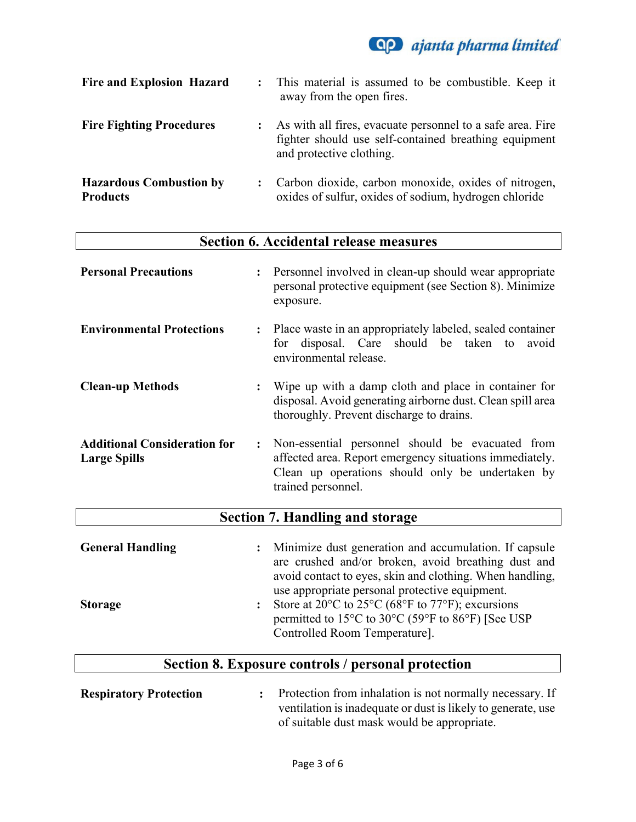

| <b>Fire and Explosion Hazard</b>                  | $\ddot{\cdot}$ | This material is assumed to be combustible. Keep it<br>away from the open fires.                                                                |
|---------------------------------------------------|----------------|-------------------------------------------------------------------------------------------------------------------------------------------------|
| <b>Fire Fighting Procedures</b>                   |                | As with all fires, evacuate personnel to a safe area. Fire<br>fighter should use self-contained breathing equipment<br>and protective clothing. |
| <b>Hazardous Combustion by</b><br><b>Products</b> |                | Carbon dioxide, carbon monoxide, oxides of nitrogen,<br>oxides of sulfur, oxides of sodium, hydrogen chloride                                   |

| <b>Section 6. Accidental release measures</b>                                |                                                                                                                                                                                                                      |  |
|------------------------------------------------------------------------------|----------------------------------------------------------------------------------------------------------------------------------------------------------------------------------------------------------------------|--|
| <b>Personal Precautions</b><br>$\ddot{\cdot}$                                | Personnel involved in clean-up should wear appropriate<br>personal protective equipment (see Section 8). Minimize<br>exposure.                                                                                       |  |
| <b>Environmental Protections</b><br>$\ddot{\cdot}$                           | Place waste in an appropriately labeled, sealed container<br>disposal. Care should be taken to<br>avoid<br>for<br>environmental release.                                                                             |  |
| <b>Clean-up Methods</b><br>$\ddot{\cdot}$                                    | Wipe up with a damp cloth and place in container for<br>disposal. Avoid generating airborne dust. Clean spill area<br>thoroughly. Prevent discharge to drains.                                                       |  |
| <b>Additional Consideration for</b><br>$\ddot{\cdot}$<br><b>Large Spills</b> | Non-essential personnel should be evacuated from<br>affected area. Report emergency situations immediately.<br>Clean up operations should only be undertaken by<br>trained personnel.                                |  |
| <b>Section 7. Handling and storage</b>                                       |                                                                                                                                                                                                                      |  |
| <b>General Handling</b><br>:                                                 | Minimize dust generation and accumulation. If capsule<br>are crushed and/or broken, avoid breathing dust and<br>avoid contact to eyes, skin and clothing. When handling,                                             |  |
| <b>Storage</b>                                                               | use appropriate personal protective equipment.<br>Store at 20 $\rm{^{\circ}C}$ to 25 $\rm{^{\circ}C}$ (68 $\rm{^{\circ}F}$ to 77 $\rm{^{\circ}F}$ ); excursions<br>permitted to 15°C to 30°C (59°F to 86°F) [See USP |  |

# **Section 8. Exposure controls / personal protection**

Controlled Room Temperature].

| <b>Respiratory Protection</b> | Protection from inhalation is not normally necessary. If     |
|-------------------------------|--------------------------------------------------------------|
|                               | ventilation is inadequate or dust is likely to generate, use |
|                               | of suitable dust mask would be appropriate.                  |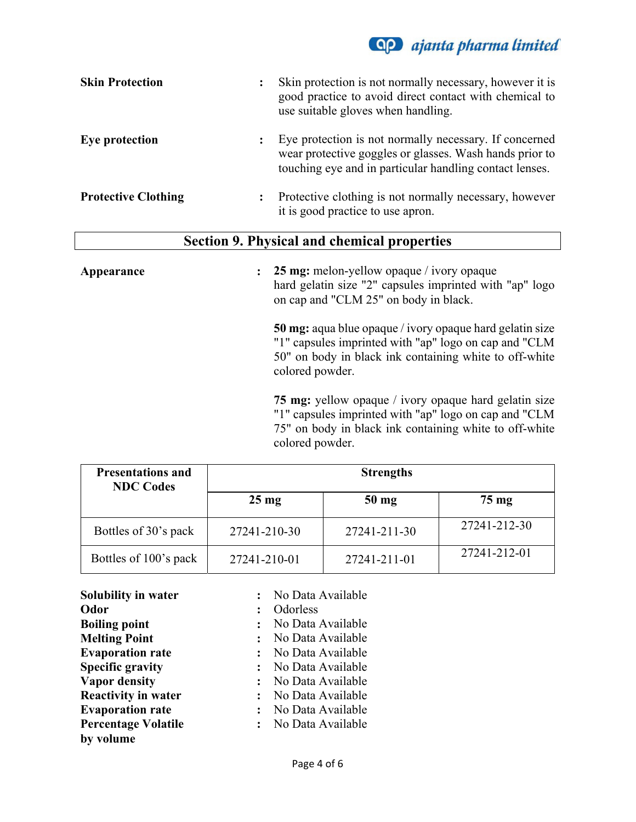

| <b>Skin Protection</b>     | $\ddot{\cdot}$ | Skin protection is not normally necessary, however it is<br>good practice to avoid direct contact with chemical to<br>use suitable gloves when handling.                     |
|----------------------------|----------------|------------------------------------------------------------------------------------------------------------------------------------------------------------------------------|
| Eye protection             | $\ddot{\cdot}$ | Eye protection is not normally necessary. If concerned<br>wear protective goggles or glasses. Wash hands prior to<br>touching eye and in particular handling contact lenses. |
| <b>Protective Clothing</b> | $\ddot{\cdot}$ | Protective clothing is not normally necessary, however<br>it is good practice to use apron.                                                                                  |

#### **Section 9. Physical and chemical properties**

## **Appearance : 25 mg:** melon-yellow opaque / ivory opaque hard gelatin size "2" capsules imprinted with "ap" logo on cap and "CLM 25" on body in black. **50 mg:** aqua blue opaque / ivory opaque hard gelatin size "1" capsules imprinted with "ap" logo on cap and "CLM 50" on body in black ink containing white to off-white colored powder. **75 mg:** yellow opaque / ivory opaque hard gelatin size "1" capsules imprinted with "ap" logo on cap and "CLM 75" on body in black ink containing white to off-white

| <b>Presentations and</b><br><b>NDC Codes</b> | <b>Strengths</b> |                 |                 |  |  |
|----------------------------------------------|------------------|-----------------|-----------------|--|--|
|                                              | $25 \text{ mg}$  | $50 \text{ mg}$ | $75 \text{ mg}$ |  |  |
| Bottles of 30's pack                         | 27241-210-30     | 27241-211-30    | 27241-212-30    |  |  |
| Bottles of 100's pack                        | 27241-210-01     | 27241-211-01    | 27241-212-01    |  |  |

colored powder.

| Solubility in water        | No Data Available              |
|----------------------------|--------------------------------|
| Odor                       | Odorless                       |
| <b>Boiling point</b>       | No Data Available              |
| <b>Melting Point</b>       | No Data Available              |
| <b>Evaporation rate</b>    | No Data Available              |
| <b>Specific gravity</b>    | No Data Available              |
| <b>Vapor density</b>       | No Data Available              |
| <b>Reactivity in water</b> | No Data Available              |
| <b>Evaporation rate</b>    | No Data Available              |
| <b>Percentage Volatile</b> | No Data Available<br>$\cdot$ . |
| by volume                  |                                |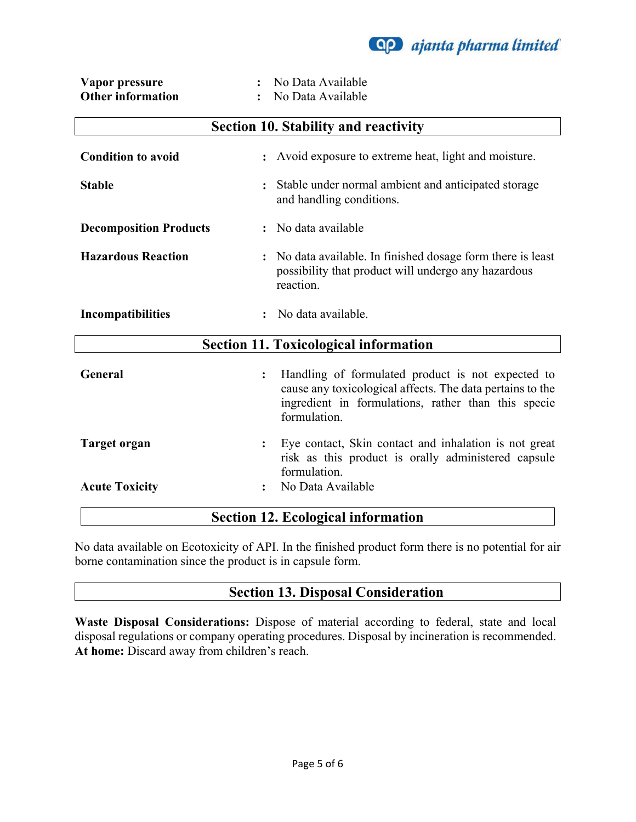

| Vapor pressure           | No Data Available |
|--------------------------|-------------------|
| <b>Other information</b> | No Data Available |

| <b>Section 10. Stability and reactivity</b>  |                                                                                                                                                                                                         |  |  |
|----------------------------------------------|---------------------------------------------------------------------------------------------------------------------------------------------------------------------------------------------------------|--|--|
| <b>Condition to avoid</b>                    | Avoid exposure to extreme heat, light and moisture.                                                                                                                                                     |  |  |
| <b>Stable</b>                                | Stable under normal ambient and anticipated storage<br>and handling conditions.                                                                                                                         |  |  |
| <b>Decomposition Products</b>                | : No data available                                                                                                                                                                                     |  |  |
| <b>Hazardous Reaction</b>                    | No data available. In finished dosage form there is least<br>possibility that product will undergo any hazardous<br>reaction.                                                                           |  |  |
| <b>Incompatibilities</b>                     | No data available.                                                                                                                                                                                      |  |  |
| <b>Section 11. Toxicological information</b> |                                                                                                                                                                                                         |  |  |
| General                                      | Handling of formulated product is not expected to<br>$\ddot{\cdot}$<br>cause any toxicological affects. The data pertains to the<br>ingredient in formulations, rather than this specie<br>formulation. |  |  |
| Target organ                                 | Eye contact, Skin contact and inhalation is not great<br>risk as this product is orally administered capsule<br>formulation.                                                                            |  |  |
| <b>Acute Toxicity</b>                        | No Data Available                                                                                                                                                                                       |  |  |
| <b>Section 12. Ecological information</b>    |                                                                                                                                                                                                         |  |  |

No data available on Ecotoxicity of API. In the finished product form there is no potential for air borne contamination since the product is in capsule form.

## **Section 13. Disposal Consideration**

**Waste Disposal Considerations:** Dispose of material according to federal, state and local disposal regulations or company operating procedures. Disposal by incineration is recommended. **At home:** Discard away from children's reach.